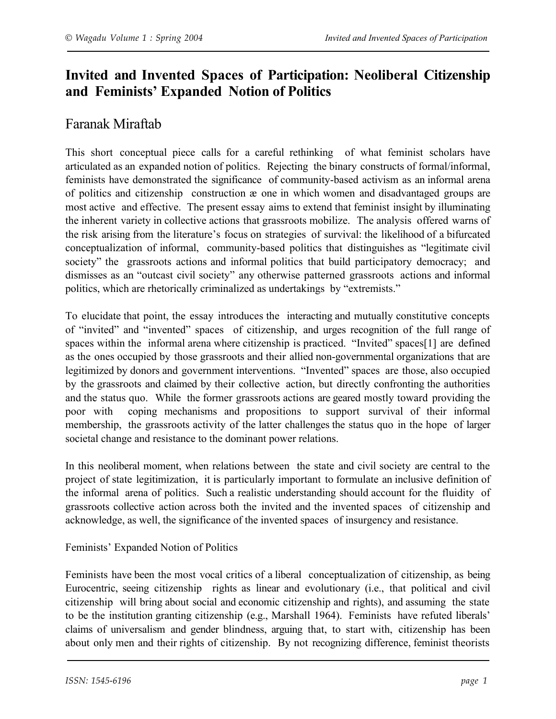# **Invited and Invented Spaces of Participation: Neoliberal Citizenship and Feminists' Expanded Notion of Politics**

## Faranak Miraftab

This short conceptual piece calls for a careful rethinking of what feminist scholars have articulated as an expanded notion of politics. Rejecting the binary constructs of formal/informal, feminists have demonstrated the significance of community-based activism as an informal arena of politics and citizenship construction æ one in which women and disadvantaged groups are most active and effective. The present essay aims to extend that feminist insight by illuminating the inherent variety in collective actions that grassroots mobilize. The analysis offered warns of the risk arising from the literature's focus on strategies of survival: the likelihood of a bifurcated conceptualization of informal, community-based politics that distinguishes as "legitimate civil society" the grassroots actions and informal politics that build participatory democracy; and dismisses as an "outcast civil society" any otherwise patterned grassroots actions and informal politics, which are rhetorically criminalized as undertakings by "extremists."

To elucidate that point, the essay introduces the interacting and mutually constitutive concepts of "invited" and "invented" spaces of citizenship, and urges recognition of the full range of spaces within the informal arena where citizenship is practiced. "Invited" spaces[1] are defined as the ones occupied by those grassroots and their allied non-governmental organizations that are legitimized by donors and government interventions. "Invented" spaces are those, also occupied by the grassroots and claimed by their collective action, but directly confronting the authorities and the status quo. While the former grassroots actions are geared mostly toward providing the poor with coping mechanisms and propositions to support survival of their informal membership, the grassroots activity of the latter challenges the status quo in the hope of larger societal change and resistance to the dominant power relations.

In this neoliberal moment, when relations between the state and civil society are central to the project of state legitimization, it is particularly important to formulate an inclusive definition of the informal arena of politics. Such a realistic understanding should account for the fluidity of grassroots collective action across both the invited and the invented spaces of citizenship and acknowledge, as well, the significance of the invented spaces of insurgency and resistance.

## Feminists' Expanded Notion of Politics

Feminists have been the most vocal critics of a liberal conceptualization of citizenship, as being Eurocentric, seeing citizenship rights as linear and evolutionary (i.e., that political and civil citizenship will bring about social and economic citizenship and rights), and assuming the state to be the institution granting citizenship (e.g., Marshall 1964). Feminists have refuted liberals' claims of universalism and gender blindness, arguing that, to start with, citizenship has been about only men and their rights of citizenship. By not recognizing difference, feminist theorists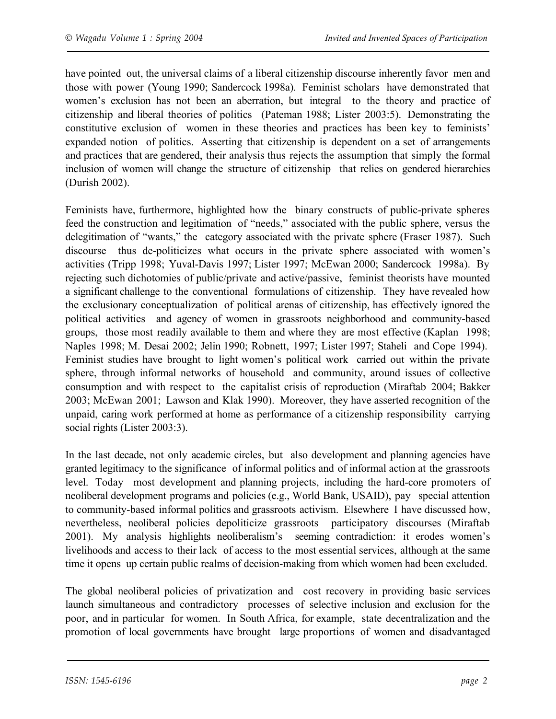have pointed out, the universal claims of a liberal citizenship discourse inherently favor men and those with power (Young 1990; Sandercock 1998a). Feminist scholars have demonstrated that women's exclusion has not been an aberration, but integral to the theory and practice of citizenship and liberal theories of politics (Pateman 1988; Lister 2003:5). Demonstrating the constitutive exclusion of women in these theories and practices has been key to feminists' expanded notion of politics. Asserting that citizenship is dependent on a set of arrangements and practices that are gendered, their analysis thus rejects the assumption that simply the formal inclusion of women will change the structure of citizenship that relies on gendered hierarchies (Durish 2002).

Feminists have, furthermore, highlighted how the binary constructs of public-private spheres feed the construction and legitimation of "needs," associated with the public sphere, versus the delegitimation of "wants," the category associated with the private sphere (Fraser 1987). Such discourse thus de-politicizes what occurs in the private sphere associated with women's activities (Tripp 1998; Yuval-Davis 1997; Lister 1997; McEwan 2000; Sandercock 1998a). By rejecting such dichotomies of public/private and active/passive, feminist theorists have mounted a significant challenge to the conventional formulations of citizenship. They have revealed how the exclusionary conceptualization of political arenas of citizenship, has effectively ignored the political activities and agency of women in grassroots neighborhood and community-based groups, those most readily available to them and where they are most effective (Kaplan 1998; Naples 1998; M. Desai 2002; Jelin 1990; Robnett, 1997; Lister 1997; Staheli and Cope 1994). Feminist studies have brought to light women's political work carried out within the private sphere, through informal networks of household and community, around issues of collective consumption and with respect to the capitalist crisis of reproduction (Miraftab 2004; Bakker 2003; McEwan 2001; Lawson and Klak 1990). Moreover, they have asserted recognition of the unpaid, caring work performed at home as performance of a citizenship responsibility carrying social rights (Lister 2003:3).

In the last decade, not only academic circles, but also development and planning agencies have granted legitimacy to the significance of informal politics and of informal action at the grassroots level. Today most development and planning projects, including the hard-core promoters of neoliberal development programs and policies (e.g., World Bank, USAID), pay special attention to community-based informal politics and grassroots activism. Elsewhere I have discussed how, nevertheless, neoliberal policies depoliticize grassroots participatory discourses (Miraftab 2001). My analysis highlights neoliberalism's seeming contradiction: it erodes women's livelihoods and access to their lack of access to the most essential services, although at the same time it opens up certain public realms of decision-making from which women had been excluded.

The global neoliberal policies of privatization and cost recovery in providing basic services launch simultaneous and contradictory processes of selective inclusion and exclusion for the poor, and in particular for women. In South Africa, for example, state decentralization and the promotion of local governments have brought large proportions of women and disadvantaged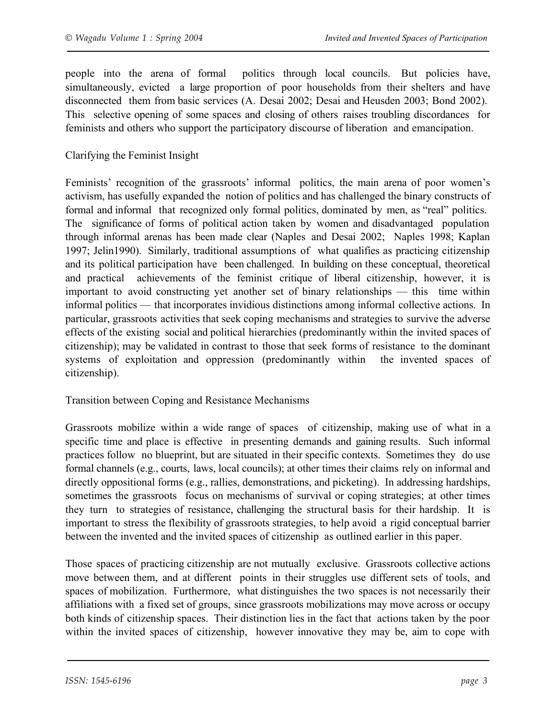people into the arena of formal politics through local councils. But policies have, simultaneously, evicted a large proportion of poor households from their shelters and have disconnected them from basic services (A. Desai 2002; Desai and Heusden 2003; Bond 2002). This selective opening of some spaces and closing of others raises troubling discordances for feminists and others who support the participatory discourse of liberation and emancipation.

### Clarifying the Feminist Insight

Feminists' recognition of the grassroots' informal politics, the main arena of poor women's activism, has usefully expanded the notion of politics and has challenged the binary constructs of formal and informal that recognized only formal politics, dominated by men, as "real" politics. The significance of forms of political action taken by women and disadvantaged population through informal arenas has been made clear (Naples and Desai 2002; Naples 1998; Kaplan 1997; Jelin1990). Similarly, traditional assumptions of what qualifies as practicing citizenship and its political participation have been challenged. In building on these conceptual, theoretical and practical achievements of the feminist critique of liberal citizenship, however, it is important to avoid constructing yet another set of binary relationships — this time within informal politics — that incorporates invidious distinctions among informal collective actions. In particular, grassroots activities that seek coping mechanisms and strategies to survive the adverse effects of the existing social and political hierarchies (predominantly within the invited spaces of citizenship); may be validated in contrast to those that seek forms of resistance to the dominant systems of exploitation and oppression (predominantly within the invented spaces of citizenship).

#### Transition between Coping and Resistance Mechanisms

Grassroots mobilize within a wide range of spaces of citizenship, making use of what in a specific time and place is effective in presenting demands and gaining results. Such informal practices follow no blueprint, but are situated in their specific contexts. Sometimes they do use formal channels (e.g., courts, laws, local councils); at other times their claims rely on informal and directly oppositional forms (e.g., rallies, demonstrations, and picketing). In addressing hardships, sometimes the grassroots focus on mechanisms of survival or coping strategies; at other times they turn to strategies of resistance, challenging the structural basis for their hardship. It is important to stress the flexibility of grassroots strategies, to help avoid a rigid conceptual barrier between the invented and the invited spaces of citizenship as outlined earlier in this paper.

Those spaces of practicing citizenship are not mutually exclusive. Grassroots collective actions move between them, and at different points in their struggles use different sets of tools, and spaces of mobilization. Furthermore, what distinguishes the two spaces is not necessarily their affiliations with a fixed set of groups, since grassroots mobilizations may move across or occupy both kinds of citizenship spaces. Their distinction lies in the fact that actions taken by the poor within the invited spaces of citizenship, however innovative they may be, aim to cope with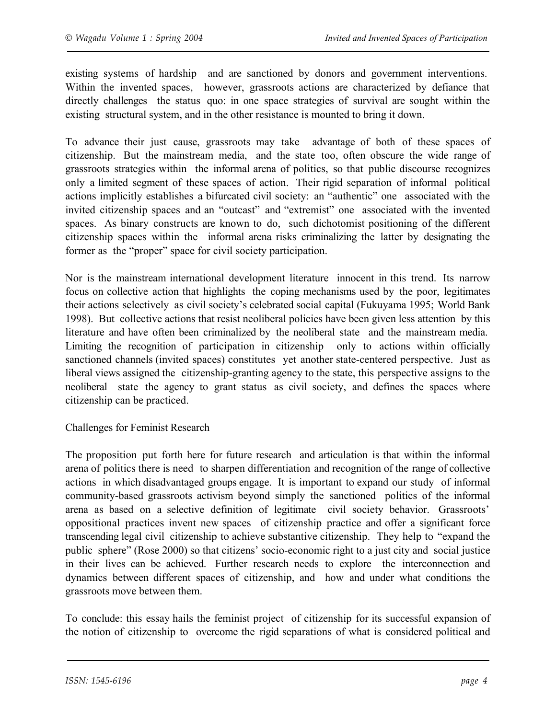existing systems of hardship and are sanctioned by donors and government interventions. Within the invented spaces, however, grassroots actions are characterized by defiance that directly challenges the status quo: in one space strategies of survival are sought within the existing structural system, and in the other resistance is mounted to bring it down.

To advance their just cause, grassroots may take advantage of both of these spaces of citizenship. But the mainstream media, and the state too, often obscure the wide range of grassroots strategies within the informal arena of politics, so that public discourse recognizes only a limited segment of these spaces of action. Their rigid separation of informal political actions implicitly establishes a bifurcated civil society: an "authentic" one associated with the invited citizenship spaces and an "outcast" and "extremist" one associated with the invented spaces. As binary constructs are known to do, such dichotomist positioning of the different citizenship spaces within the informal arena risks criminalizing the latter by designating the former as the "proper" space for civil society participation.

Nor is the mainstream international development literature innocent in this trend. Its narrow focus on collective action that highlights the coping mechanisms used by the poor, legitimates their actions selectively as civil society's celebrated social capital (Fukuyama 1995; World Bank 1998). But collective actions that resist neoliberal policies have been given less attention by this literature and have often been criminalized by the neoliberal state and the mainstream media. Limiting the recognition of participation in citizenship only to actions within officially sanctioned channels (invited spaces) constitutes yet another state-centered perspective. Just as liberal views assigned the citizenship-granting agency to the state, this perspective assigns to the neoliberal state the agency to grant status as civil society, and defines the spaces where citizenship can be practiced.

Challenges for Feminist Research

The proposition put forth here for future research and articulation is that within the informal arena of politics there is need to sharpen differentiation and recognition of the range of collective actions in which disadvantaged groups engage. It is important to expand our study of informal community-based grassroots activism beyond simply the sanctioned politics of the informal arena as based on a selective definition of legitimate civil society behavior. Grassroots' oppositional practices invent new spaces of citizenship practice and offer a significant force transcending legal civil citizenship to achieve substantive citizenship. They help to "expand the public sphere" (Rose 2000) so that citizens' socio-economic right to a just city and social justice in their lives can be achieved. Further research needs to explore the interconnection and dynamics between different spaces of citizenship, and how and under what conditions the grassroots move between them.

To conclude: this essay hails the feminist project of citizenship for its successful expansion of the notion of citizenship to overcome the rigid separations of what is considered political and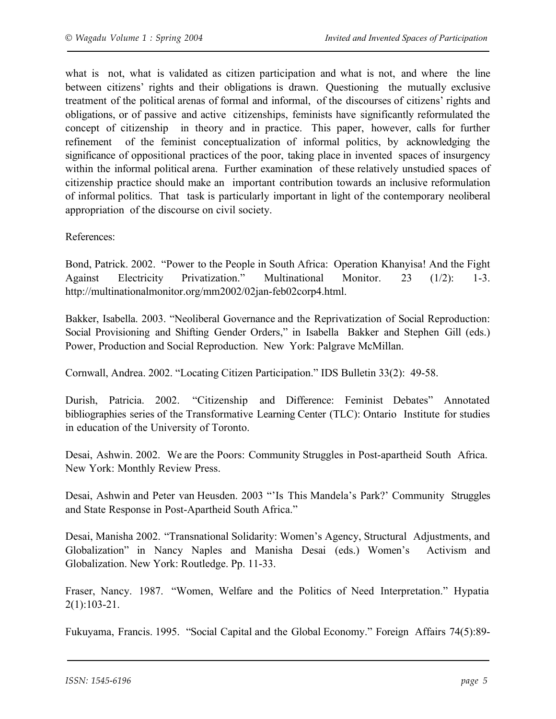what is not, what is validated as citizen participation and what is not, and where the line between citizens' rights and their obligations is drawn. Questioning the mutually exclusive treatment of the political arenas of formal and informal, of the discourses of citizens' rights and obligations, or of passive and active citizenships, feminists have significantly reformulated the concept of citizenship in theory and in practice. This paper, however, calls for further refinement of the feminist conceptualization of informal politics, by acknowledging the significance of oppositional practices of the poor, taking place in invented spaces of insurgency within the informal political arena. Further examination of these relatively unstudied spaces of citizenship practice should make an important contribution towards an inclusive reformulation of informal politics. That task is particularly important in light of the contemporary neoliberal appropriation of the discourse on civil society.

References:

Bond, Patrick. 2002. "Power to the People in South Africa: Operation Khanyisa! And the Fight Against Electricity Privatization." Multinational Monitor. 23 (1/2): 1-3. http://multinationalmonitor.org/mm2002/02jan-feb02corp4.html.

Bakker, Isabella. 2003. "Neoliberal Governance and the Reprivatization of Social Reproduction: Social Provisioning and Shifting Gender Orders," in Isabella Bakker and Stephen Gill (eds.) Power, Production and Social Reproduction. New York: Palgrave McMillan.

Cornwall, Andrea. 2002. "Locating Citizen Participation." IDS Bulletin 33(2): 49-58.

Durish, Patricia. 2002. "Citizenship and Difference: Feminist Debates" Annotated bibliographies series of the Transformative Learning Center (TLC): Ontario Institute for studies in education of the University of Toronto.

Desai, Ashwin. 2002. We are the Poors: Community Struggles in Post-apartheid South Africa. New York: Monthly Review Press.

Desai, Ashwin and Peter van Heusden. 2003 "'Is This Mandela's Park?' Community Struggles and State Response in Post-Apartheid South Africa."

Desai, Manisha 2002. "Transnational Solidarity: Women's Agency, Structural Adjustments, and Globalization" in Nancy Naples and Manisha Desai (eds.) Women's Activism and Globalization. New York: Routledge. Pp. 11-33.

Fraser, Nancy. 1987. "Women, Welfare and the Politics of Need Interpretation." Hypatia  $2(1):103-21.$ 

Fukuyama, Francis. 1995. "Social Capital and the Global Economy." Foreign Affairs 74(5):89-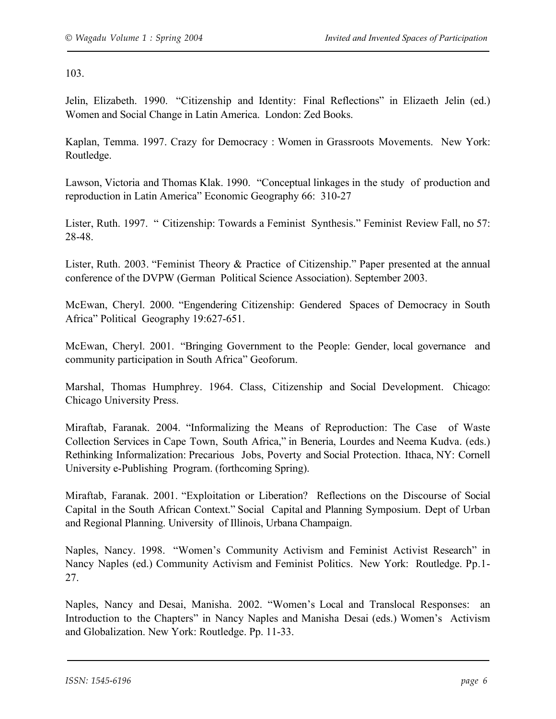103.

Jelin, Elizabeth. 1990. "Citizenship and Identity: Final Reflections" in Elizaeth Jelin (ed.) Women and Social Change in Latin America. London: Zed Books.

Kaplan, Temma. 1997. Crazy for Democracy : Women in Grassroots Movements. New York: Routledge.

Lawson, Victoria and Thomas Klak. 1990. "Conceptual linkages in the study of production and reproduction in Latin America" Economic Geography 66: 310-27

Lister, Ruth. 1997. " Citizenship: Towards a Feminist Synthesis." Feminist Review Fall, no 57: 28-48.

Lister, Ruth. 2003. "Feminist Theory & Practice of Citizenship." Paper presented at the annual conference of the DVPW (German Political Science Association). September 2003.

McEwan, Cheryl. 2000. "Engendering Citizenship: Gendered Spaces of Democracy in South Africa" Political Geography 19:627-651.

McEwan, Cheryl. 2001. "Bringing Government to the People: Gender, local governance and community participation in South Africa" Geoforum.

Marshal, Thomas Humphrey. 1964. Class, Citizenship and Social Development. Chicago: Chicago University Press.

Miraftab, Faranak. 2004. "Informalizing the Means of Reproduction: The Case of Waste Collection Services in Cape Town, South Africa," in Beneria, Lourdes and Neema Kudva. (eds.) Rethinking Informalization: Precarious Jobs, Poverty and Social Protection. Ithaca, NY: Cornell University e-Publishing Program. (forthcoming Spring).

Miraftab, Faranak. 2001. "Exploitation or Liberation? Reflections on the Discourse of Social Capital in the South African Context." Social Capital and Planning Symposium. Dept of Urban and Regional Planning. University of Illinois, Urbana Champaign.

Naples, Nancy. 1998. "Women's Community Activism and Feminist Activist Research" in Nancy Naples (ed.) Community Activism and Feminist Politics. New York: Routledge. Pp.1- 27.

Naples, Nancy and Desai, Manisha. 2002. "Women's Local and Translocal Responses: an Introduction to the Chapters" in Nancy Naples and Manisha Desai (eds.) Women's Activism and Globalization. New York: Routledge. Pp. 11-33.